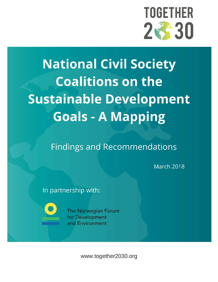

# **National Civil Society Coalitions on the Sustainable Development Goals - A Mapping**

**Findings and Recommendations** 

**March 2018** 

In partnership with:

The Norwegian Forum for Development and Environment

www.together2030.org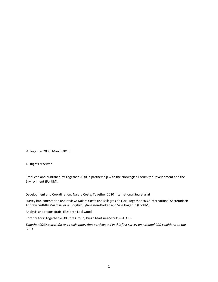© Together 2030. March 2018.

All Rights reserved.

Produced and published by Together 2030 in partnership with the Norwegian Forum for Development and the Environment (ForUM).

Development and Coordination: Naiara Costa, Together 2030 International Secretariat

Survey implementation and review: Naiara Costa and Milagros de Hoz (Together 2030 International Secretariat); Andrew Griffiths (Sightsavers); Borghild Tønnessen-Krokan and Silje Hagerup (ForUM).

Analysis and report draft: Elizabeth Lockwood

Contributors: Together 2030 Core Group, Diego Martinez-Schutt (CAFOD).

*Together 2030 is grateful to all colleagues that participated in this first survey on national CSO coalitions on the SDGs.*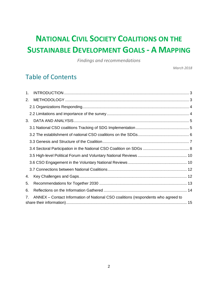# **NATIONAL CIVIL SOCIETY COALITIONS ON THE SUSTAINABLE DEVELOPMENT GOALS - A MAPPING**

*Findings and recommendations*

*March 2018*

## Table of Contents

| 1.             |                                                                                   |
|----------------|-----------------------------------------------------------------------------------|
| 2.             |                                                                                   |
|                |                                                                                   |
|                |                                                                                   |
| 3.             |                                                                                   |
|                |                                                                                   |
|                |                                                                                   |
|                |                                                                                   |
|                |                                                                                   |
|                |                                                                                   |
|                |                                                                                   |
|                |                                                                                   |
| 4.             |                                                                                   |
| 5.             |                                                                                   |
| 6.             |                                                                                   |
| 7 <sub>1</sub> | ANNEX – Contact Information of National CSO coalitions (respondents who agreed to |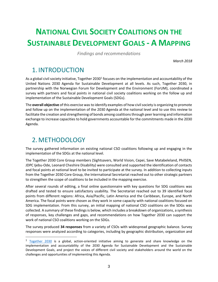# **NATIONAL CIVIL SOCIETY COALITIONS ON THE SUSTAINABLE DEVELOPMENT GOALS - A MAPPING**

*Findings and recommendations*

*March 2018*

### <span id="page-3-0"></span>1. INTRODUCTION

As a global civil society initiative, Together 2030<sup>1</sup> focuses on the implementation and accountability of the United Nations 2030 Agenda for Sustainable Development at all levels. As such, Together 2030, in partnership with the Norwegian Forum for Development and the Environment (ForUM), coordinated a survey with partners and focal points in national civil society coalitions working on the follow up and implementation of the Sustainable Development Goals (SDGs).

The **overall objective** of this exercise was to identify examples of how civil society is organizing to promote and follow up on the implementation of the 2030 Agenda at the national level and to use this review to facilitate the creation and strengthening of bonds among coalitions through peer learning and information exchange to increase capacities to hold governments accountable for the commitments made in the 2030 Agenda.

## <span id="page-3-1"></span>2.METHODOLOGY

 $\overline{a}$ 

The survey gathered information on existing national CSO coalitions following up and engaging in the implementation of the SDGs at the national level.

The Together 2030 Core Group members (Sightsavers, World Vision, Cepei, Save Matabeleland, PhilSEN, JDPC Ijebu-Ode, Leonard Cheshire Disability) were consulted and supported the identification of contacts and focal points at national level to be invited to participate at the survey. In addition to collecting inputs from the Together 2030 Core Group, the International Secretariat reached out to other strategic partners to strengthen the scope of coalitions to be included in the mapping exercise.

After several rounds of editing, a final online questionnaire with key questions for SDG coalitions was drafted and tested to ensure satisfactory usability. The Secretariat reached out to 39 identified focal points from different regions: Africa, Asia/Pacific, Latin America and the Caribbean, Europe, and North America. The focal points were chosen as they work in some capacity with national coalitions focused on SDG implementation. From this survey, an initial mapping of national CSO coalitions on the SDGs was collected. A summary of these findings is below, which includes a breakdown of organizations, a synthesis of responses, key challenges and gaps, and recommendations on how Together 2030 can support the work of national CSO coalitions working on the SDGs.

The survey produced **34 responses** from a variety of CSOs with widespread geographic balance. Survey responses were analyzed according to categories, including by geographic distribution, organization and

<sup>&</sup>lt;sup>1</sup> [Together 2030](http://www.together2030.org/) is a global, action-oriented initiative aiming to generate and share knowledge on the implementation and accountability of the 2030 Agenda for Sustainable Development and the Sustainable Development Goals, and project the voices of different civil society and stakeholders around the world on the challenges and opportunities of implementing this Agenda.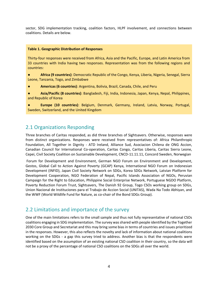sector, SDG implementation tracking, coalition factors, HLPF involvement, and connections between coalitions. Details are below.

#### **Table 1. Geographic Distribution of Responses**

Thirty-four responses were received from Africa, Asia and the Pacific, Europe, and Latin America from 33 countries with India having two responses. Representation was from the following regions and countries:

● **Africa (9 countries)**: Democratic Republic of the Congo, Kenya, Liberia, Nigeria, Senegal, Sierra Leone, Tanzania, Togo, and Zimbabwe

● **Americas (6 countries)**: Argentina, Bolivia, Brazil, Canada, Chile, and Peru

● **Asia/Pacific (8 countries)**: Bangladesh, Fiji, India, Indonesia, Japan, Kenya, Nepal, Philippines, and Republic of Korea

● **Europe (10 countries)**: Belgium, Denmark, Germany, Ireland, Latvia, Norway, Portugal, Sweden, Switzerland, and the United Kingdom

#### <span id="page-4-0"></span>2.1 Organizations Responding

Three branches of Caritas responded, as did three branches of Sightsavers. Otherwise, responses were from distinct organizations. Responses were received from representatives of: Africa Philanthropic Foundation, All Together in Dignity - ATD Ireland, Alliance Sud, Asociacion Chilena de ONG Accion, Canadian Council for International Co-operation, Caritas Congo, Caritas Liberia, Caritas Sierra Leone, Cepei, Civil Society Coalition on Sustainable Development, CNCD-11.11.11, Concord Sweden, Norwegian

Forum for Development and Environment, German NGO Forum on Environment and Development, Gestos, Global Call to Action Against Poverty (GCAP) Kenya, International NGO Forum on Indonesian Development (INFID), Japan Civil Society Network on SDGs, Korea SDGs Network, Latvian Platform for Development Cooperation, NGO Federation of Nepal, Pacific Islands Association of NGOs, Peruvian Campaign for the Right to Education, Philippine Social Enterprise Network, Portuguese NGDO Platform, Poverty Reduction Forum Trust, Sightsavers, The Danish 92 Group, Togo CSOs working group on SDGs, Union Nacional de Instituciones para el Trabajo de Accion Social (UNITAS), Wada Na Todo Abhiyan, and the WWF (World Wildlife Fund for Nature, as co-chair of the Bond SDGs Group).

#### <span id="page-4-1"></span>2.2 Limitations and importance of the survey

One of the main limitations refers to the small sample and thus not fully representative of national CSOs coalitions engaging in SDG implementation. The survey was shared with people identified by the Together 2030 Core Group and Secretariat and this may bring some bias in terms of countries and issues prioritized in the responses. However, this also reflects the novelty and lack of information about national coalitions working on the SDGs - a gap this survey tried to address. Another bias is that the respondents were identified based on the assumption of an existing national CSO coalition in their country, so the data will not be a proxy of the percentage of national CSO coalitions on the SDGs all over the world.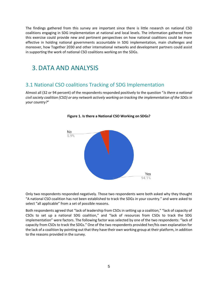The findings gathered from this survey are important since there is little research on national CSO coalitions engaging in SDG implementation at national and local levels. The information gathered from this exercise could provide new and pertinent perspectives on how national coalitions could be more effective in holding national governments accountable in SDG implementation, main challenges and moreover, how Together 2030 and other international networks and development partners could assist in supporting the work of national CSO coalitions working on the SDGs.

#### <span id="page-5-0"></span>3.DATA AND ANALYSIS

#### <span id="page-5-1"></span>3.1 National CSO coalitions Tracking of SDG Implementation

Almost all (32 or 94 percent) of the respondents responded positively to the question "*Is there a national civil society coalition (CSO) or any network actively working on tracking the implementation of the SDGs in your country?*"





Only two respondents responded negatively. Those two respondents were both asked why they thought "A national CSO coalition has not been established to track the SDGs in your country." and were asked to select "all applicable" from a set of possible reasons.

Both respondents agreed that "lack of leadership from CSOs in setting up a coalition," "lack of capacity of CSOs to set up a national SDG coalition," and "lack of resources from CSOs to track the SDG implementation" were factors. The following factor was selected by one of the two respondents: "lack of capacity from CSOs to track the SDGs." One of the two respondents provided her/his own explanation for the lack of a coalition by pointing out that they have their own working group at their platform, in addition to the reasons provided in the survey.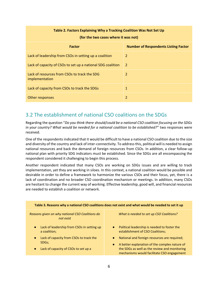| Table 2. Factors Explaining Why a Tracking Coalition Was Not Set Up |                                             |  |  |
|---------------------------------------------------------------------|---------------------------------------------|--|--|
| (for the two cases where it was not)                                |                                             |  |  |
| <b>Factor</b>                                                       | <b>Number of Respondents Listing Factor</b> |  |  |
| Lack of leadership from CSOs in setting up a coalition              | 2                                           |  |  |
| Lack of capacity of CSOs to set up a national SDG coalition         | 2                                           |  |  |
| Lack of resources from CSOs to track the SDG<br>implementation      | 2                                           |  |  |
| Lack of capacity from CSOs to track the SDGs                        | 1                                           |  |  |
| Other responses                                                     | $\overline{\phantom{a}}$                    |  |  |

#### <span id="page-6-0"></span>3.2 The establishment of national CSO coalitions on the SDGs

Regarding the question "*Do you think there should/could be a national CSO coalition focusing on the SDGs in your country? What would be needed for a national coalition to be established?"* two responses were received.

One of the respondents indicated that it would be difficult to have a national CSO coalition due to the size and diversity of the country and lack of inter-connectivity. To address this, political will is needed to assign national resources and back the demand of foreign resources from CSOs. In addition, a clear follow-up national plan with priority SDG indicators must be established. Since the SDGs are all encompassing the respondent considered it challenging to begin this process.

Another respondent indicated that many CSOs are working on SDGs issues and are willing to track implementation, yet they are working in siloes. In this context, a national coalition would be possible and desirable in order to define a framework to harmonize the various CSOs and their focus, yet, there is a lack of coordination and no broader CSO coordination mechanism or meetings. In addition, many CSOs are hesitant to change the current way of working. Effective leadership, good will, and financial resources are needed to establish a coalition or network.

| Table 3. Reasons why a national CSO coalitions does not exist and what would be needed to set it up                                                                                                        |                                                                                                                                                                                                                                                                                                                         |  |
|------------------------------------------------------------------------------------------------------------------------------------------------------------------------------------------------------------|-------------------------------------------------------------------------------------------------------------------------------------------------------------------------------------------------------------------------------------------------------------------------------------------------------------------------|--|
| Reasons given on why national CSO Coalitions do<br>not exist                                                                                                                                               | What is needed to set up CSO Coalitions?                                                                                                                                                                                                                                                                                |  |
| Lack of leadership from CSOs in setting up<br>$\bullet$<br>a coalition;<br>Lack of capacity from CSOs to track the<br>$\bullet$<br>SDG <sub>s</sub> ;<br>Lack of capacity of CSOs to set up a<br>$\bullet$ | Political leadership is needed to foster the<br>$\bullet$<br>establishment of CSO Coalitions;<br>National and foreign resources are required;<br>$\bullet$<br>A better explanation of the complex nature of<br>$\bullet$<br>the SDGs as well as the review and monitoring<br>mechanisms would facilitate CSO engagement |  |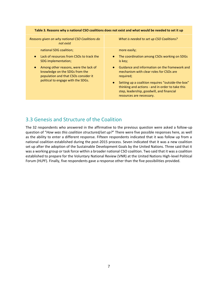#### **Table 3. Reasons why a national CSO coalitions does not exist and what would be needed to set it up**

*Reasons given on why national CSO Coalitions do not exist*

national SDG coalition;

- Lack of resources from CSOs to track the SDG implementation;
- Among other reasons, were the lack of knowledge on the SDGs from the population and that CSOs consider it political to engage with the SDGs.

*What is needed to set up CSO Coalitions?*

more easily;

- The coordination among CSOs working on SDGs is key;
- Guidance and information on the framework and mechanism with clear roles for CSOs are required;
- Setting up a coalition requires "outside-the-box" thinking and actions - and in order to take this step, leadership, goodwill, and financial resources are necessary.

#### <span id="page-7-0"></span>3.3 Genesis and Structure of the Coalition

The 32 respondents who answered in the affirmative to the previous question were asked a follow-up question of "*How was this coalition structured/set up?*" There were five possible responses here, as well as the ability to enter a different response. Fifteen respondents indicated that it was follow up from a national coalition established during the post-2015 process. Seven indicated that it was a new coalition set up after the adoption of the Sustainable Development Goals by the United Nations. Three said that it was a working group or task force within a broader national CSO coalition. Two said that it was a coalition established to prepare for the Voluntary National Review (VNR) at the United Nations High-level Political Forum (HLPF). Finally, five respondents gave a response other than the five possibilities provided.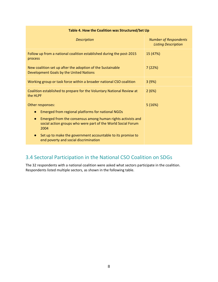| Table 4. How the Coalition was Structured/Set Up                                                                                                                                                                                                                                                                                                            |                                                            |  |
|-------------------------------------------------------------------------------------------------------------------------------------------------------------------------------------------------------------------------------------------------------------------------------------------------------------------------------------------------------------|------------------------------------------------------------|--|
| <b>Description</b>                                                                                                                                                                                                                                                                                                                                          | <b>Number of Respondents</b><br><b>Listing Description</b> |  |
| Follow up from a national coalition established during the post-2015<br>process                                                                                                                                                                                                                                                                             | 15 (47%)                                                   |  |
| New coalition set up after the adoption of the Sustainable<br>Development Goals by the United Nations                                                                                                                                                                                                                                                       | 7(22%)                                                     |  |
| Working group or task force within a broader national CSO coalition                                                                                                                                                                                                                                                                                         | 3(9%)                                                      |  |
| Coalition established to prepare for the Voluntary National Review at<br>the HLPF                                                                                                                                                                                                                                                                           | 2(6%)                                                      |  |
| Other responses:<br>Emerged from regional platforms for national NGOs<br>$\bullet$<br>Emerged from the consensus among human rights activists and<br>$\bullet$<br>social action groups who were part of the World Social Forum<br>2004<br>Set up to make the government accountable to its promise to<br>$\bullet$<br>end poverty and social discrimination | 5(16%)                                                     |  |

#### <span id="page-8-0"></span>3.4 Sectoral Participation in the National CSO Coalition on SDGs

The 32 respondents with a national coalition were asked what sectors participate in the coalition. Respondents listed multiple sectors, as shown in the following table.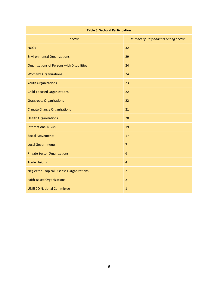#### **Table 5. Sectoral Participation**

| <b>Sector</b>                                    | <b>Number of Respondents Listing Sector</b> |
|--------------------------------------------------|---------------------------------------------|
| <b>NGOs</b>                                      | 32                                          |
| <b>Environmental Organizations</b>               | 29                                          |
| Organizations of Persons with Disabilities       | 24                                          |
| <b>Women's Organizations</b>                     | 24                                          |
| <b>Youth Organizations</b>                       | 23                                          |
| <b>Child-Focused Organizations</b>               | 22                                          |
| <b>Grassroots Organizations</b>                  | 22                                          |
| <b>Climate Change Organizations</b>              | 21                                          |
| <b>Health Organizations</b>                      | 20                                          |
| <b>International NGOs</b>                        | 19                                          |
| <b>Social Movements</b>                          | 17                                          |
| <b>Local Governments</b>                         | $\overline{7}$                              |
| <b>Private Sector Organizations</b>              | $6\phantom{1}$                              |
| <b>Trade Unions</b>                              | $\overline{4}$                              |
| <b>Neglected Tropical Diseases Organizations</b> | $\overline{2}$                              |
| <b>Faith-Based Organizations</b>                 | $\overline{2}$                              |
| <b>UNESCO National Committee</b>                 | $\mathbf{1}$                                |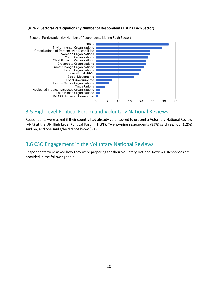#### **Figure 2. Sectoral Participation (by Number of Respondents Listing Each Sector)**



Sectoral Participation (by Number of Respondents Listing Each Sector)

#### <span id="page-10-0"></span>3.5 High-level Political Forum and Voluntary National Reviews

Respondents were asked if their country had already volunteered to present a Voluntary National Review (VNR) at the UN High Level Political Forum (HLPF). Twenty-nine respondents (85%) said yes, four (12%) said no, and one said s/he did not know (3%).

#### <span id="page-10-1"></span>3.6 CSO Engagement in the Voluntary National Reviews

Respondents were asked how they were preparing for their Voluntary National Reviews. Responses are provided in the following table.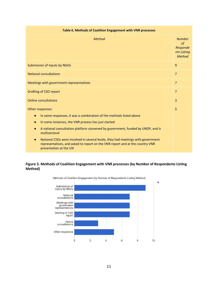| Table 6. Methods of Coalition Engagement with VNR processes                                                                                                                                              |                                                                        |  |
|----------------------------------------------------------------------------------------------------------------------------------------------------------------------------------------------------------|------------------------------------------------------------------------|--|
| Method                                                                                                                                                                                                   | <b>Number</b><br>$\circ f$<br>Responde<br>nts Listing<br><b>Method</b> |  |
| Submission of inputs by NGOs                                                                                                                                                                             |                                                                        |  |
| <b>National consultations</b>                                                                                                                                                                            |                                                                        |  |
| Meetings with government representatives                                                                                                                                                                 |                                                                        |  |
| Drafting of CSO report                                                                                                                                                                                   |                                                                        |  |
| <b>Online consultations</b>                                                                                                                                                                              |                                                                        |  |
| Other responses:                                                                                                                                                                                         |                                                                        |  |
| In some responses, it was a combination of the methods listed above<br>$\bullet$                                                                                                                         |                                                                        |  |
| In some instances, the VNR process has just started<br>$\bullet$                                                                                                                                         |                                                                        |  |
| A national consultation platform convened by government, funded by UNDP, and is<br>$\bullet$<br>multisectoral                                                                                            |                                                                        |  |
| National CSOs were involved in several levels, they had meetings with government<br>$\bullet$<br>representatives, and asked to report on the VNR report and at the country VNR<br>presentation at the UN |                                                                        |  |

#### **Figure 3. Methods of Coalition Engagement with VNR processes (by Number of Respondents Listing Method)**



Methods of Coalition Engagement (by Number of Respondents Listing Method)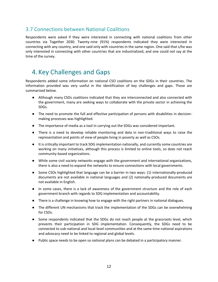#### <span id="page-12-0"></span>3.7 Connections between National Coalitions

Respondents were asked if they were interested in connecting with national coalitions from other countries via Together 2030. Twenty-nine (91%) respondents indicated they were interested in connecting with any country, and one said only with countries in the same region. One said that s/he was only interested in connecting with other countries that are industrialized, and one could not say at the time of the survey.

## <span id="page-12-1"></span>4. Key Challenges and Gaps

Respondents added some information on national CSO coalitions on the SDGs in their countries. The information provided was very useful in the identification of key challenges and gaps. Those are summarized below.

- Although many CSOs coalitions indicated that they are interconnected and also connected with the government, many are seeking ways to collaborate with the private sector in achieving the SDGs.
- The need to promote the full and effective participation of persons with disabilities in decisionmaking processes was highlighted.
- The importance of media as a tool in carrying out the SDGs was considered important.
- There is a need to develop reliable monitoring and data in non-traditional ways to raise the representation and points of view of people living in poverty as well as CSOs.
- It is critically important to track SDG implementation nationally, and currently some countries are working on many initiatives, although this process is limited to online tools, so does not reach community-based organizations.
- While some civil society networks engage with the government and international organizations, there is also a need to expand the networks to ensure connections with local governments.
- Some CSOs highlighted that language can be a barrier in two ways: (1) internationally-produced documents are not available in national languages and (2) nationally-produced documents are not available in English.
- In some cases, there is a lack of awareness of the government structure and the role of each government branch with regards to SDG implementation and accountability.
- There is a challenge in knowing how to engage with the right partners in national dialogues.
- The different UN mechanisms that track the implementation of the SDGs can be overwhelming for CSOs.
- Some respondents indicated that the SDGs do not reach people at the grassroots level, which prevents their participation in SDG implementation. Consequently, the SDGs need to be connected to sub-national and local-level communities and at the same time national aspirations and advocacy need to be linked to regional and global levels.
- Public space needs to be open so national plans can be debated in a participatory manner.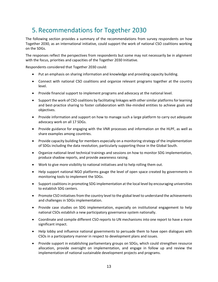## <span id="page-13-0"></span>5. Recommendations for Together 2030

The following section provides a summary of the recommendations from survey respondents on how Together 2030, as an international initiative, could support the work of national CSO coalitions working on the SDGs.

The responses reflect the perspectives from respondents but some may not necessarily be in alignment with the focus, priorities and capacities of the Together 2030 Initiative.

Respondents considered that Together 2030 could:

- Put an emphasis on sharing information and knowledge and providing capacity building.
- Connect with national CSO coalitions and organize relevant programs together at the country level.
- Provide financial support to implement programs and advocacy at the national level.
- Support the work of CSO coalitions by facilitating linkages with other similar platforms for learning and best-practice sharing to foster collaboration with like-minded entities to achieve goals and objectives.
- Provide information and support on how to manage such a large platform to carry out adequate advocacy work on all 17 SDGs.
- Provide guidance for engaging with the VNR processes and information on the HLPF, as well as share examples among countries.
- Provide capacity building for members especially on a monitoring strategy of the implementation of SDGs including the data revolution, particularly supporting those in the Global South.
- Organize national-level technical trainings and sessions on how to monitor SDG implementation, produce shadow reports, and provide awareness raising.
- Work to give more visibility to national initiatives and to help rolling them out.
- Help support national NGO platforms gauge the level of open space created by governments in monitoring tools to implement the SDGs.
- Support coalitions in promoting SDG implementation at the local level by encouraging universities to establish SDG centers.
- Promote CSO initiatives from the country level to the global level to understand the achievements and challenges in SDGs implementation.
- Provide case studies on SDG implementation, especially on institutional engagement to help national CSOs establish a new participatory governance system nationally.
- Coordinate and compile different CSO reports to UN mechanisms into one report to have a more significant impact.
- Help lobby and influence national governments to persuade them to have open dialogues with CSOs in a participatory manner in respect to development plans and issues.
- Provide support in establishing parliamentary groups on SDGs, which could strengthen resource allocation, provide oversight on implementation, and engage in follow up and review the implementation of national sustainable development projects and programs.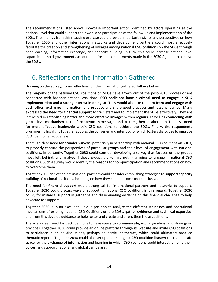The recommendations listed above showcase important action identified by actors operating at the national level that could support their work and participation at the follow up and implementation of the SDGs. The findings from this mapping exercise could provide important insights and perspectives on how Together 2030 and other international networks and development partners could most effectively facilitate the creation and strengthening of linkages among national CSO coalitions on the SDGs through peer learning, information exchange, and capacity building. In turn, this could increase national-level capacities to hold governments accountable for the commitments made in the 2030 Agenda to achieve the SDGs.

## <span id="page-14-0"></span>6. Reflections on the Information Gathered

Drawing on the survey, some reflections on the information gathered follows below.

The majority of the national CSO coalitions on SDGs have grown out of the post-2015 process or are connected with broader national coalitions. **CSO coalitions have a critical need to engage in SDG implementation and a strong interest in doing so**. They would also like to **learn from and engage with each other**, exchange information, and produce and share good practices and lessons learned. Many expressed the **need for financial support** to train staff and to implement the SDGs effectively. They are interested in **establishing better and more effective linkages within regions**, as well as **connecting with global-level mechanisms**to reinforce advocacy messages and to strengthen collaboration. There is a need for more effective leadership within CSO coalitions to achieve the SDGs. Finally, the respondents prominently highlight Together 2030 as the convener and interlocutor which fosters dialogues to improve CSO coalition effectiveness.

There is a clear **need for broader surveys**, potentially in partnership with national CSO coalitions on SDGs, to properly capture the perspectives of particular groups and their level of engagement with national coalitions. Importantly, Together 2030 could consider developing a survey that focuses on the groups most left behind, and analyze if those groups are (or are not) managing to engage in national CSO coalitions. Such a survey would identify the reasons for non-participation and recommendations on how to overcome them.

Together 2030 and other international partners could consider establishing strategies to **support capacity building** of national coalitions, including on how they could become more inclusive.

The need for **financial support** was a strong call for international partners and networks to support. Together 2030 could discuss ways of supporting national CSO coalitions in this regard. Together 2030 could, for instance, support in gathering and disseminating evidence on this financial challenge to help advocate for support.

Together 2030 is in an excellent, unique position to analyze the different structures and operational mechanisms of existing national CSO Coalitions on the SDGs, **gather evidence and technical expertise**, and from this develop guidance to help foster and create and strengthen those coalitions.

There is a clear need for CSO coalitions to have **space to communicate**, exchange ideas, and share good practices. Together 2030 could provide an online platform through its website and invite CSO coalitions to participate in online discussions, perhaps on particular themes, which could ultimately produce thematic reports. Together 2030 could also set up and manage a **CSO coalition listserv** to create a safe space for the exchange of information and learning in which CSO coalitions could interact, amplify their voices, and support national and global campaigns.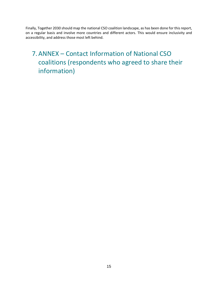Finally, Together 2030 should map the national CSO coalition landscape, as has been done for this report, on a regular basis and involve more countries and different actors. This would ensure inclusivity and accessibility, and address those most left behind.

## <span id="page-15-0"></span>7.ANNEX – Contact Information of National CSO coalitions (respondents who agreed to share their information)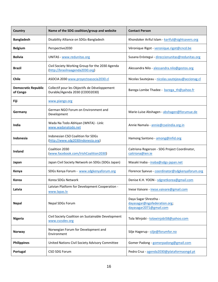| Country                                | Name of the SDG coalition/group and website                                        | <b>Contact Person</b>                                                            |
|----------------------------------------|------------------------------------------------------------------------------------|----------------------------------------------------------------------------------|
| <b>Bangladesh</b>                      | Disability Alliance on SDGs-Bangladesh                                             | Khondoker Ariful Islam - kariful@sightsavers.org                                 |
| <b>Belgium</b>                         | Perspective2030                                                                    | Véronique Rigot - veronique.rigot@cncd.be                                        |
| <b>Bolivia</b>                         | <b>UNITAS - www.redunitas.org</b>                                                  | Susana Eróstegui - direccionunitas@redunitas.org                                 |
| <b>Brazil</b>                          | Civil Society Working Group for the 2030 Agenda<br>(http://brasilnaagenda2030.org) | Alessandra Nilo - alessandra.nilo@gestos.org                                     |
| <b>Chile</b>                           | ASOCIA 2030 www.proyectoasocia2030.cl                                              | Nicolas Sautejeau - nicolas.sautejeau@accionag.cl                                |
| <b>Democratic Republic</b><br>of Congo | Collectif pour les Objectifs de Développement<br>Durable/Agenda 2030 (CODD2030)    | Barega Lombe Thadee - barega th@yahoo.fr                                         |
| <b>Fiji</b>                            | www.piango.org                                                                     |                                                                                  |
| Germany                                | German NGO Forum on Environment and<br>Development                                 | Marie-Luise Abshagen - abshagen@forumue.de                                       |
| India                                  | Wada Na Todo Abhiyan (WNTA) - Link:<br>www.wadanatodo.net                          | Annie Namala - annie@cseiindia.org.in                                            |
| Indonesia                              | Indonesian CSO Coalition for SDGs<br>(http://www.sdg2030indonesia.org)             | Hamong Santono - among@infid.org                                                 |
| <b>Ireland</b>                         | Coalition 2030<br>(www.facebook.com/IrishCoalition2030)                            | Caitriona Rogerson - SDG Project Coordinator,<br>caitriona@ien.ie                |
| Japan                                  | Japan Civil Society Network on SDGs (SDGs Japan)                                   | Masaki Inaba - inaba@sdgs-japan.net                                              |
| Kenya                                  | SDGs Kenya Forum - www.sdgkenyaforum.org                                           | Florence Syevuo - coordinator@sdgkenyaforum.org                                  |
| <b>Korea</b>                           | Korea SDGs Network                                                                 | Denise K.H. YOON - sdgnetkorea@gmail.com                                         |
| Latvia                                 | Latvian Platform for Development Cooperation -<br>www.lapas.lv                     | Inese Vaivare - inese.vaivare@gmail.com                                          |
| <b>Nepal</b>                           | Nepal SDGs Forum                                                                   | Daya Sagar Shrestha -<br>dayasagar@ngofederation.org;<br>dayasagar2071@gmail.com |
| <b>Nigeria</b>                         | Civil Society Coalition on Sustainable Development<br>www.cscsdev.org              | Tola Winjobi - tolawinjobi58@yahoo.com                                           |
| Norway                                 | Norwegian Forum for Development and<br>Environment                                 | Silje Hagerup - silje@forumfor.no                                                |
| <b>Philippines</b>                     | United Nations Civil Society Advisory Committee                                    | Gomer Padong - gomerpadong@gmail.com                                             |
| Portugal                               | CSO SDG Forum                                                                      | Pedro Cruz - agenda2030@plataformaongd.pt                                        |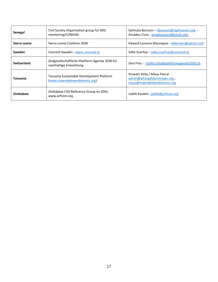| Senegal      | Civil Society Organisation group for SDG<br>monitoring/CONGAD               | Salimata Bocoum - Sbocoum@sightsavers.org -<br>Amadou Cisse - amadousisco@gmail.com             |
|--------------|-----------------------------------------------------------------------------|-------------------------------------------------------------------------------------------------|
| Sierra Leone | Sierra Leone Coalition 2030                                                 | Edward Lansana Massaquoi - ediemass@yahoo.com                                                   |
| Sweden       | Concord Sweden - www.concord.se                                             | Sofia Svarfvar - sofia.svarfvar@concord.se                                                      |
| Switzerland  | Zivilgesellschaftliche Plattform Agenda 2030 für<br>nachhaltige Entwicklung | Sara Frey - mailto:info@plattformagenda2030.ch                                                  |
| Tanzania     | Tanzania Sustainable Development Platform<br>(www.maendeleoendelevutz.org)  | Stuwart Kitila / Maua Pascal -<br>admin@africaphilanthropic.org;<br>maua@maendeloendelevutz.org |
| Zimbabwe     | Zimbabwe CSO Reference Group on SDGs<br>www.prftzim.org                     | Judith Kaulem -judith@prftzim.org                                                               |